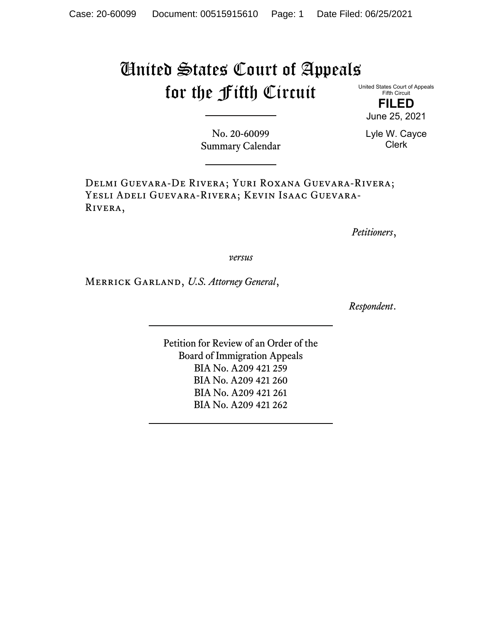## United States Court of Appeals for the Fifth Circuit

United States Court of Appeals Fifth Circuit

**FILED** June 25, 2021

No. 20-60099 Summary Calendar Lyle W. Cayce Clerk

Delmi Guevara-De Rivera; Yuri Roxana Guevara-Rivera; Yesli Adeli Guevara-Rivera; Kevin Isaac Guevara-Rivera,

*Petitioners*,

*versus*

Merrick Garland, *U.S. Attorney General*,

*Respondent*.

Petition for Review of an Order of the Board of Immigration Appeals BIA No. A209 421 259 BIA No. A209 421 260 BIA No. A209 421 261 BIA No. A209 421 262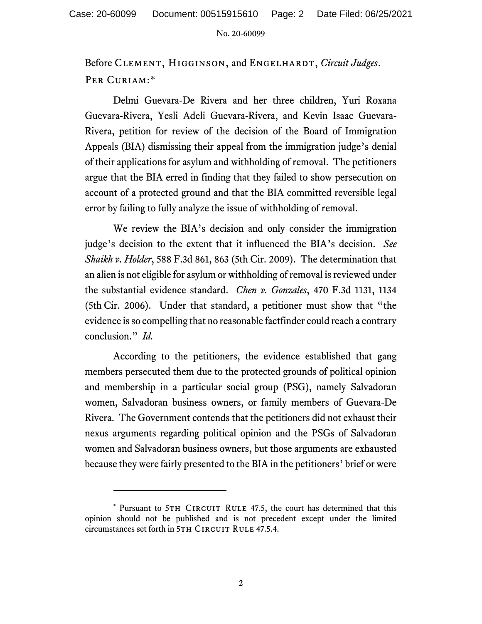No. 20-60099

Before Clement, Higginson, and Engelhardt, *Circuit Judges*. PER CURIAM:[\\*](#page-1-0)

Delmi Guevara-De Rivera and her three children, Yuri Roxana Guevara-Rivera, Yesli Adeli Guevara-Rivera, and Kevin Isaac Guevara-Rivera, petition for review of the decision of the Board of Immigration Appeals (BIA) dismissing their appeal from the immigration judge's denial of their applications for asylum and withholding of removal. The petitioners argue that the BIA erred in finding that they failed to show persecution on account of a protected ground and that the BIA committed reversible legal error by failing to fully analyze the issue of withholding of removal.

We review the BIA's decision and only consider the immigration judge's decision to the extent that it influenced the BIA's decision. *See Shaikh v. Holder*, 588 F.3d 861, 863 (5th Cir. 2009). The determination that an alien is not eligible for asylum or withholding of removal is reviewed under the substantial evidence standard. *Chen v. Gonzales*, 470 F.3d 1131, 1134 (5th Cir. 2006). Under that standard, a petitioner must show that "the evidence is so compelling that no reasonable factfinder could reach a contrary conclusion." *Id.*

According to the petitioners, the evidence established that gang members persecuted them due to the protected grounds of political opinion and membership in a particular social group (PSG), namely Salvadoran women, Salvadoran business owners, or family members of Guevara-De Rivera. The Government contends that the petitioners did not exhaust their nexus arguments regarding political opinion and the PSGs of Salvadoran women and Salvadoran business owners, but those arguments are exhausted because they were fairly presented to the BIA in the petitioners' brief or were

<span id="page-1-0"></span><sup>\*</sup> Pursuant to 5TH CIRCUIT RULE 47.5, the court has determined that this opinion should not be published and is not precedent except under the limited circumstances set forth in 5TH CIRCUIT RULE 47.5.4.